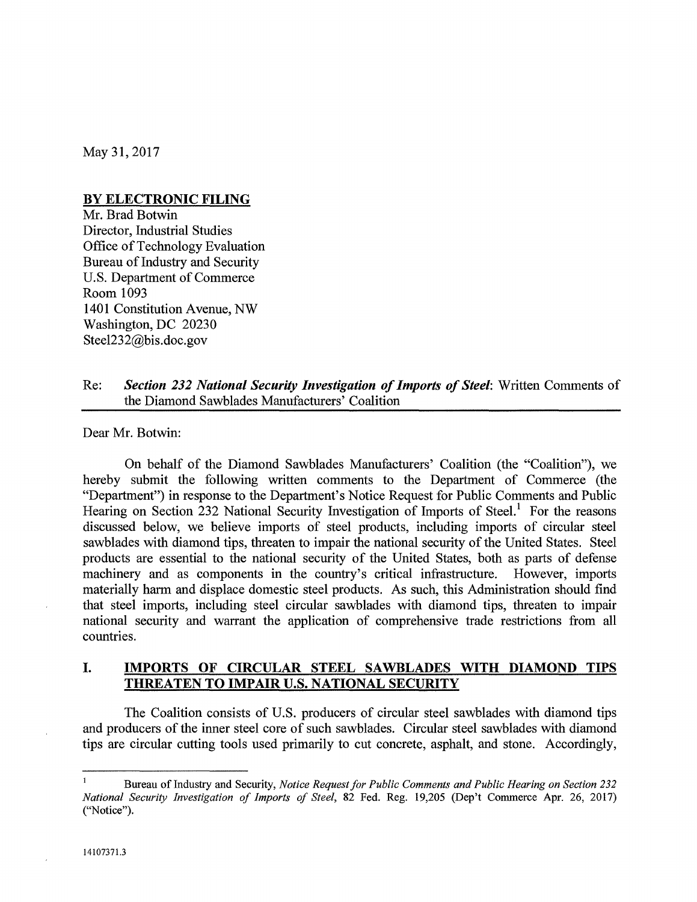May 31, 2017

### BY ELECTRONIC FILING

Mr. Brad Botwin Director, Industrial Studies Office of Technology Evaluation Bureau of Industry and Security U.S. Department of Commerce Room 1093 1401 Constitution Avenue, NW Washington, DC 20230 SteeI232@bis.doc.gov

### Re: *Section* 232 *National Security Investigation of Imports of Steel:* Written Comments of the Diamond Sawblades Manufacturers' Coalition

Dear Mr. Botwin:

On behalf of the Diamond Sawblades Manufacturers' Coalition (the "Coalition"), we hereby submit the following written comments to the Department of Commerce (the "Department") in response to the Department's Notice Request for Public Comments and Public Hearing on Section 232 National Security Investigation of Imports of Steel.' For the reasons discussed below, we believe imports of steel products, including imports of circular steel sawblades with diamond tips, threaten to impair the national security of the United States. Steel products are essential to the national security of the United States, both as parts of defense machinery and as components in the country's critical infrastructure. However, imports materially harm and displace domestic steel products. As such, this Administration should find that steel imports, including steel circular sawblades with diamond tips, threaten to impair national security and warrant the application of comprehensive trade restrictions from all countries.

## I. IMPORTS OF CIRCULAR STEEL SAWBLADES WITH DIAMOND TIPS THREATEN TO IMPAIR U.S. NATIONAL SECURITY

The Coalition consists of U.S. producers of circular steel sawblades with diamond tips and producers of the inner steel core of such sawblades. Circular steel sawblades with diamond tips are circular cutting tools used primarily to cut concrete, asphalt, and stone. Accordingly,

Bureau of Industry and Security, *Notice Request for Public Comments and Public Hearing on Section 232 National Security Investigation of Imports of Steel,* 82 Fed. Reg. 19,205 (Dep't Commerce Apr. 26, 2017) ("Notice").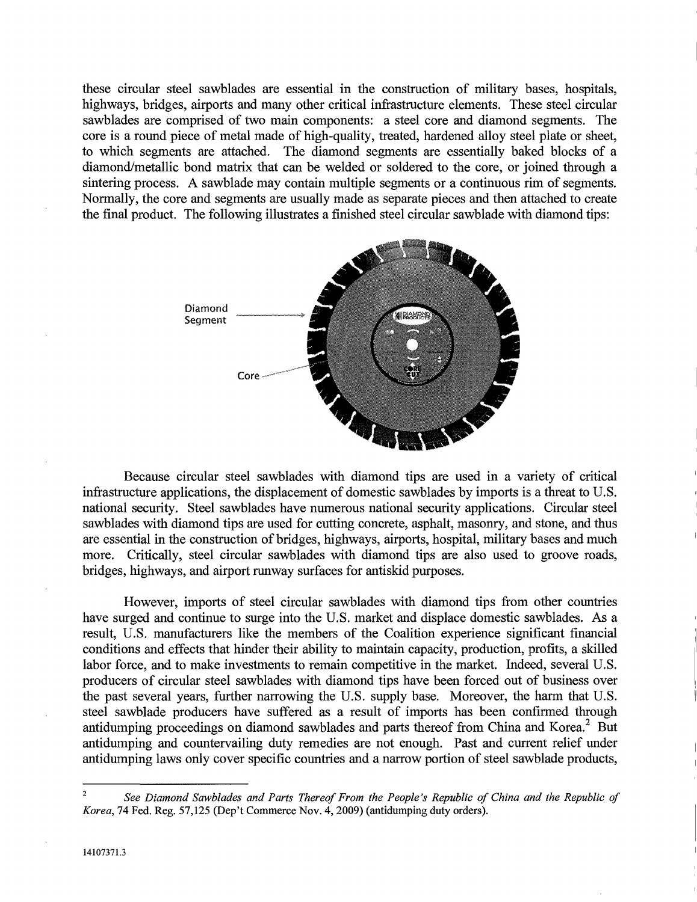these circular steel sawblades are essential in the construction of military bases, hospitals, highways, bridges, airports and many other critical infrastructure elements. These steel circular sawblades are comprised of two main components: a steel core and diamond segments. The core is a round piece of metal made of high-quality, treated, hardened alloy steel plate or sheet, to which segments are attached. The diamond segments are essentially baked blocks of a diamond/metallic bond matrix that can be welded or soldered to the core, or joined through a sintering process. A sawblade may contain multiple segments or a continuous rim of segments. Normally, the core and segments are usually made as separate pieces and then attached to create the final product. The following illustrates a finished steel circular sawblade with diamond tips:



Because circular steel sawblades with diamond tips are used in a variety of critical infrastructure applications, the displacement of domestic sawblades by imports is a threat to U.S. national security. Steel sawblades have numerous national security applications. Circular steel sawblades with diamond tips are used for cutting concrete, asphalt, masonry, and stone, and thus are essential in the construction of bridges, highways, airports, hospital, military bases and much more. Critically, steel circular sawblades with diamond tips are also used to groove roads, bridges, highways, and airport runway surfaces for antiskid purposes.

However, imports of steel circular sawblades with diamond tips from other countries have surged and continue to surge into the U.S. market and displace domestic sawblades. As a result, U.S. manufacturers like the members of the Coalition experience significant financial conditions and effects that hinder their ability to maintain capacity, production, profits, a skilled labor force, and to make investments to remain competitive in the market. Indeed, several U.S. producers of circular steel sawblades with diamond tips have been forced out of business over the past several years, further narrowing the U.S. supply base. Moreover, the harm that U.S. steel sawblade producers have suffered as a result of imports has been confirmed through antidumping proceedings on diamond sawblades and parts thereof from China and Korea.<sup>2</sup> But antidumping and countervailing duty remedies are not enough. Past and current relief under antidumping laws only cover specific countries and a narrow portion of steel sawblade products,

See Diamond Sawblades and Parts Thereof From the People's Republic of China and the Republic of *Korea,* 74 Fed. Reg. 57,125 (Dep't Commerce Nov. 4, 2009) (antidumping duty orders). 2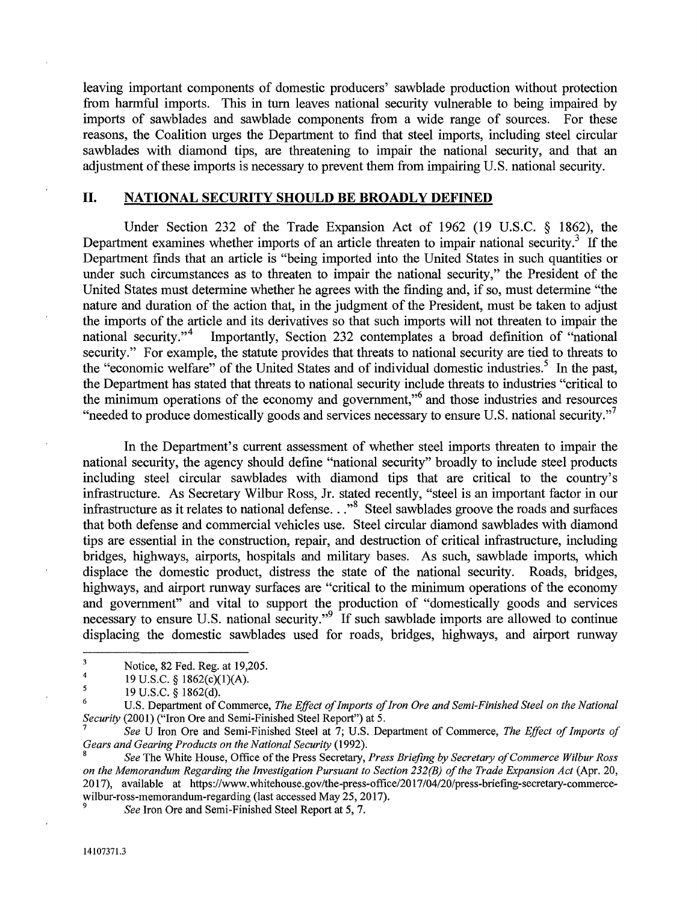leaving important components of domestic producers' sawblade production without protection from harmful imports. This in tum leaves national security vulnerable to being impaired by imports of sawblades and sawblade components from a wide range of sources. For these reasons, the Coalition urges the Department to find that steel imports, including steel circular sawblades with diamond tips, are threatening to impair the national security, and that an adjustment of these imports is necessary to prevent them from impairing U.S. national security.

#### **II. NATIONAL SECURITY SHOULD BE BROADLY DEFINED**

Under Section 232 of the Trade Expansion Act of 1962 (19 U.S.C. § 1862), the Department examines whether imports of an article threaten to impair national security.<sup>3</sup> If the Department finds that an article is "being imported into the United States in such quantities or under such circumstances as to threaten to impair the national security," the President of the United States must determine whether he agrees with the finding and, if so, must determine "the nature and duration of the action that, in the judgment of the President, must be taken to adjust the imports of the article and its derivatives so that such imports will not threaten to impair the national security."<sup>4</sup> Importantly, Section 232 contemplates a broad definition of "national" Importantly, Section 232 contemplates a broad definition of "national security." For example, the statute provides that threats to national security are tied to threats to the "economic welfare" of the United States and of individual domestic industries.' In the past, the Department has stated that threats to national security include threats to industries "critical to the minimum operations of the economy and government,"<sup>6</sup> and those industries and resources "needed to produce domestically goods and services necessary to ensure U.S. national security."

In the Department's current assessment of whether steel imports threaten to impair the national security, the agency should define "national security" broadly to include steel products including steel circular sawblades with diamond tips that are critical to the country's infrastructure. As Secretary Wilbur Ross, Jr. stated recently, "steel is an important factor in our infrastructure as it relates to national defense..."<sup>8</sup> Steel sawblades groove the roads and surfaces that both defense and commercial vehicles use. Steel circular diamond sawblades with diamond tips are essential in the construction, repair, and destruction of critical infrastructure, including bridges, highways, airports, hospitals and military bases. As such, sawblade imports, which displace the domestic product, distress the state of the national security. Roads, bridges, highways, and airport runway surfaces are "critical to the minimum operations of the economy and government" and vital to support the production of "domestically goods and services necessary to ensure U.S. national security."<sup>9</sup> If such sawblade imports are allowed to continue displacing the domestic sawblades used for roads, bridges, highways, and airport runway

Notice, 82 Fed. Reg. at 19,205. 4

<sup>19</sup> U.S.C. § 1862(c)(I)(A).

<sup>19</sup> U.S.C. § 1862(d). 5

U.S. Department of Commerce, *The Effect of Imports of Iron Ore and Semi-Finished Steel on the National Security* (2001) ("Iron Ore and Semi-Finished Steel Report") at 5. 6

*<sup>7</sup>See* U Iron Ore and Semi-Finished Steel at 7; U.S. Department of Commerce, *The Effect of Imports of Gears and Gearing Products on the National Security (1992).* 

<sup>8</sup>*See* The White House, Office of the Press Secretary, *Press Briefing by Secretary of Commerce Wilbur Ross on the Memorandum Regarding the Investigation Pursuant to Section 232(B) of the Trade Expansion Act* (Apr. 20, 2017), available at https://www.whitehouse.gov/the-press-office/2017/04/20/press-briefing-secretary-commercewilbur-ross-memorandum-regarding (last accessed May 25, 2017).

*See Iron Ore and Semi-Finished Steel Report at 5, 7.*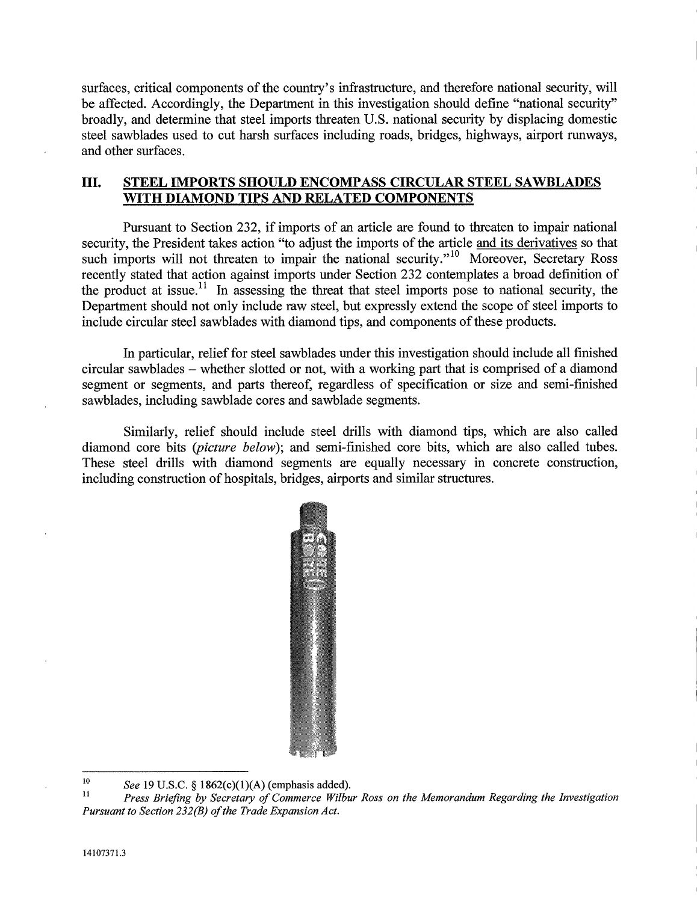surfaces, critical components of the country's infrastructure, and therefore national security, will be affected. Accordingly, the Department in this investigation should define "national security" broadly, and determine that steel imports threaten U.S. national security by displacing domestic steel sawblades used to cut harsh surfaces including roads, bridges, highways, airport runways, and other surfaces.

# **III. STEEL IMPORTS SHOULD ENCOMPASS CIRCULAR STEEL SAWBLADES WITH DIAMOND TIPS AND RELATED COMPONENTS**

Pursuant to Section 232, if imports of an article are found to threaten to impair national security, the President takes action "to adjust the imports of the article and its derivatives so that such imports will not threaten to impair the national security. $v^{10}$  Moreover, Secretary Ross recently stated that action against imports under Section 232 contemplates a broad definition of the product at issue.<sup>11</sup> In assessing the threat that steel imports pose to national security, the Department should not only include raw steel, but expressly extend the scope of steel imports to include circular steel sawblades with diamond tips, and components of these products.

In particular, relief for steel sawblades under this investigation should include all finished circular sawblades - whether slotted or not, with a working part that is comprised of a diamond segment or segments, and parts thereof, regardless of specification or size and semi-finished sawblades, including sawblade cores and sawblade segments.

Similarly, relief should include steel drills with diamond tips, which are also called diamond core bits *(picture below);* and semi-finished core bits, which are also called tubes. These steel drills with diamond segments are equally necessary in concrete construction, including construction of hospitals, bridges, airports and similar structures.



<sup>&</sup>lt;sup>10</sup> See 19 U.S.C. § 1862(c)(1)(A) (emphasis added).<br><sup>11</sup> Prass Priofing by Sequetary of Commana Wilbu

<sup>11</sup>*Press Briefing by Secretary of Commerce Wilbur Ross on the Memorandum Regarding the Investigation Pursuant to Section 232(B) of the Trade Expansion Act.*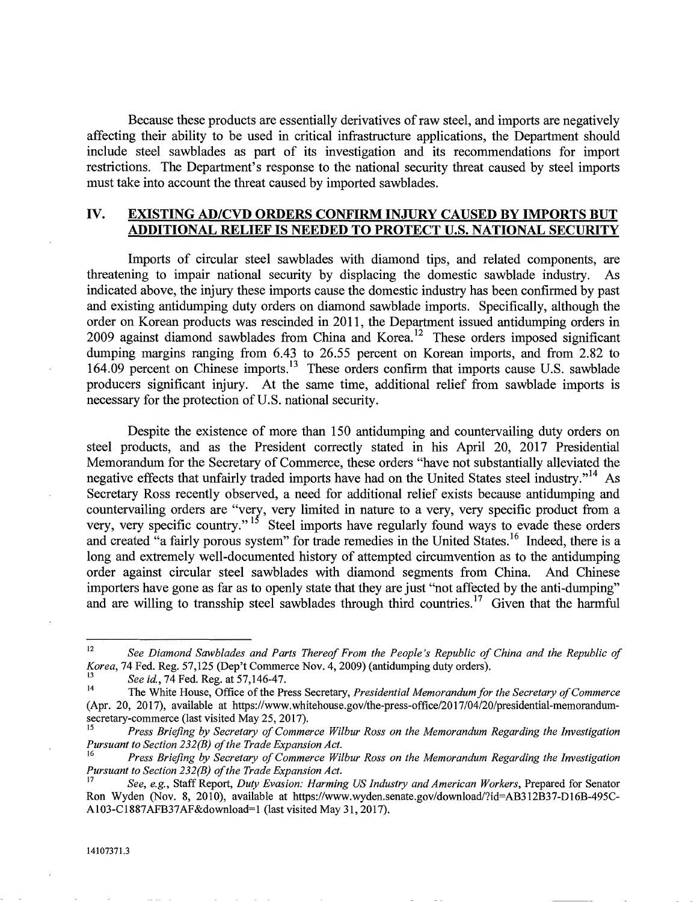Because these products are essentially derivatives of raw steel, and imports are negatively affecting their ability to be used in critical infrastructure applications, the Department should include steel sawblades as part of its investigation and its recommendations for import restrictions. The Department's response to the national security threat caused by steel imports must take into account the threat caused by imported sawblades.

### **IV. EXISTING ADICVD ORDERS CONFIRM INJURY CAUSED BY IMPORTS BUT ADDITIONAL RELIEF IS NEEDED TO PROTECT U.S. NATIONAL SECURITY**

Imports of circular steel sawblades with diamond tips, and related components, are threatening to impair national security by displacing the domestic sawblade industry. As indicated above, the injury these imports cause the domestic industry has been confirmed by past and existing antidumping duty orders on diamond sawblade imports. Specifically, although the order on Korean products was rescinded in 2011, the Department issued antidumping orders in 2009 against diamond sawblades from China and Korea.<sup>12</sup> These orders imposed significant dumping margins ranging from 6.43 to 26.55 percent on Korean imports, and from 2.82 to 164.09 percent on Chinese imports.<sup>13</sup> These orders confirm that imports cause U.S. sawblade producers significant injury. At the same time, additional relief from sawblade imports is necessary for the protection of U.S. national security.

Despite the existence of more than 150 antidumping and countervailing duty orders on steel products, and as the President correctly stated in his April 20, 2017 Presidential Memorandum for the Secretary of Commerce, these orders "have not substantially alleviated the negative effects that unfairly traded imports have had on the United States steel industry."<sup>14</sup> As Secretary Ross recently observed, a need for additional relief exists because antidumping and countervailing orders are "very, very limited in nature to a very, very specific product from a very, very specific country."<sup>15</sup> Steel imports have regularly found ways to evade these orders and created "a fairly porous system" for trade remedies in the United States.<sup>16</sup> Indeed, there is a long and extremely well-documented history of attempted circumvention as to the antidumping order against circular steel sawblades with diamond segments from China. And Chinese importers have gone as far as to openly state that they are just "not affected by the anti-dumping" and are willing to transship steel sawblades through third countries.<sup>17</sup> Given that the harmful

<sup>&</sup>lt;sup>12</sup> See Diamond Sawblades and Parts Thereof From the People's Republic of China and the Republic of *Korea,* 74 Fed. Reg. 57,125 (Dep't Commerce Nov. 4, 2009) (antidumping duty orders).

*<sup>13</sup>See id.,* 74 Fed. Reg. at 57,146-47.

<sup>14</sup>The White House, Office of the Press Secretary, *Presidential Memorandumfor the Secretary of Commerce*  (Apr. 20, 2017), available at https://www.whitehouse.gov/the-press-office/2017/04/20/presidential-memorandumsecretary-commerce (last visited May 25, 2017).

*<sup>15</sup>Press Briefing by Secretary of Commerce Wilbur Ross on the Memorandum Regarding the Investigation Pursuant to Section 232(B) of the Trade Expansion Act.* 

*<sup>16</sup>Press Briefing by Secretary of Commerce Wilbur Ross on the Memorandum Regarding the Investigation Pursuant to Section 232(B) of the Trade Expansion Act.* 

*<sup>17</sup>See, e.g.,* Staff Report, *Duty Evasion: Harming US Industry and American Workers,* Prepared for Senator Ron Wyden (Nov. 8, 2010), available at https://www.wyden.senate.gov/download/?id=AB312B37-D16B-495C-AI03-CI887AFB37AF&download=1 (last visited May 31, 2017).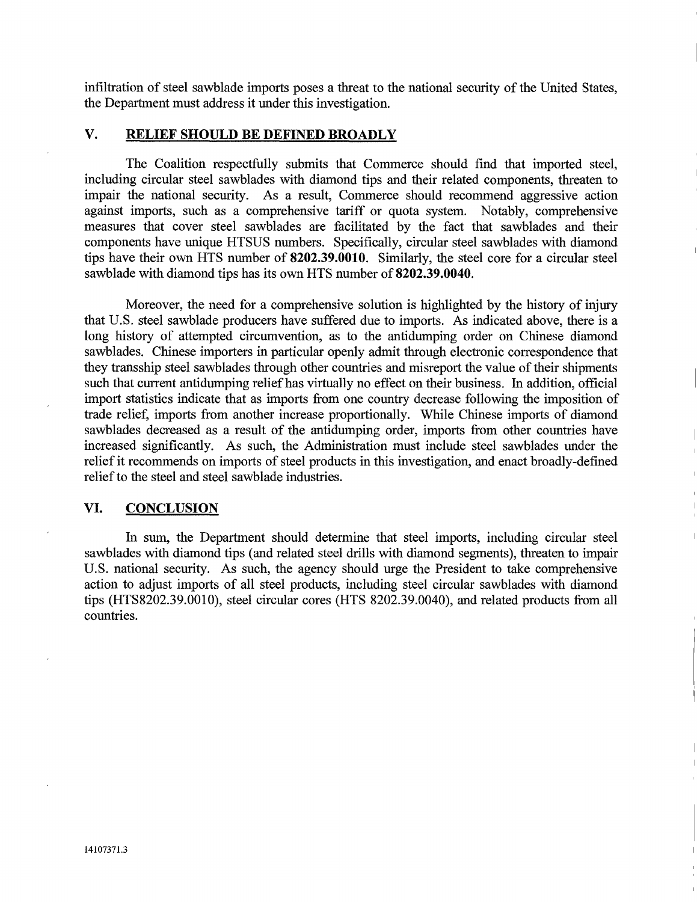infiltration of steel sawblade imports poses a threat to the national security of the United States, the Department must address it under this investigation.

# **V. RELIEF SHOULD BE DEFINED BROADLY**

The Coalition respectfully submits that Commerce should find that imported steel, including circular steel sawblades with diamond tips and their related components, threaten to impair the national security. As a result, Commerce should recommend aggressive action against imports, such as a comprehensive tariff or quota system. Notably, comprehensive measures that cover steel sawblades are facilitated by the fact that sawblades and their components have unique HTSUS numbers. Specifically, circular steel sawblades with diamond tips have their own HTS number of **8202.39.0010.** Similarly, the steel core for a circular steel sawblade with diamond tips has its own HTS number of 8202.39.0040.

Moreover, the need for a comprehensive solution is highlighted by the history of injury that U.S. steel sawblade producers have suffered due to imports. As indicated above, there is a long history of attempted circumvention, as to the antidumping order on Chinese diamond sawblades. Chinese importers in particular openly admit through electronic correspondence that they transship steel sawblades through other countries and misreport the value of their shipments such that current antidumping relief has virtually no effect on their business. In addition, official import statistics indicate that as imports from one country decrease following the imposition of trade relief, imports from another increase proportionally. While Chinese imports of diamond sawblades decreased as a result of the antidumping order, imports from other countries have increased significantly. As such, the Administration must include steel sawblades under the relief it recommends on imports of steel products in this investigation, and enact broadly-defined relief to the steel and steel sawblade industries.

#### **VI. CONCLUSION**

In sum, the Department should determine that steel imports, including circular steel sawblades with diamond tips (and related steel drills with diamond segments), threaten to impair U.S. national security. As such, the agency should urge the President to take comprehensive action to adjust imports of all steel products, including steel circular sawblades with diamond tips (HTS8202.39.0010), steel circular cores (HTS 8202.39.0040), and related products from all countries.